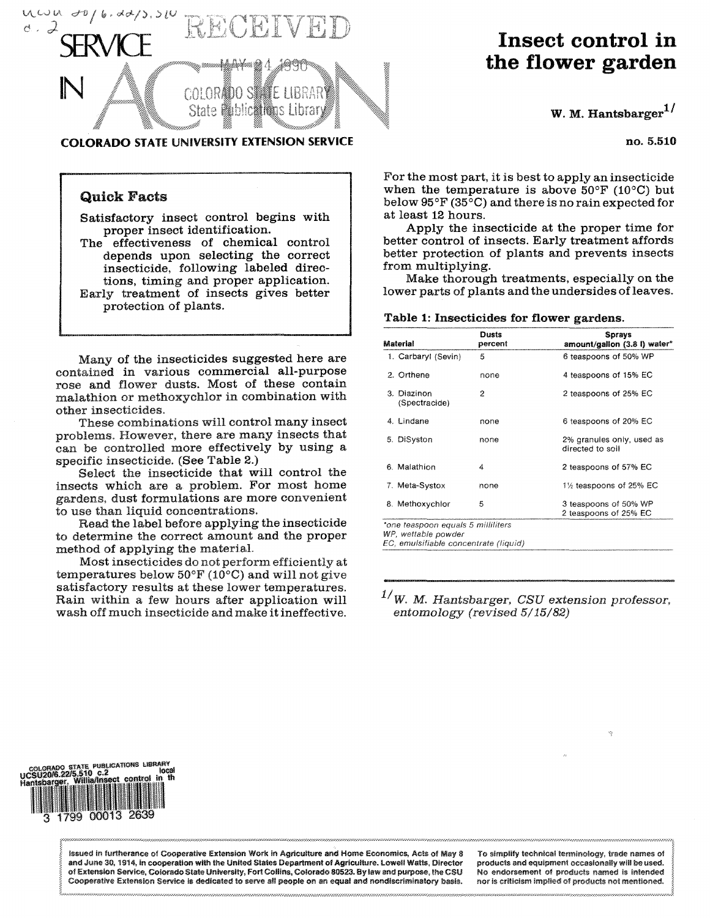

### COLORADO STATE UNIVERSITY EXTENSION SERVICE

## **Quick Facts**

**Satisfactory insect control** begins **with**  proper insect identification.

The effectiveness of chemical control **depends upon selecting the correct insecticide, following labeled directions, timing and proper application. Early treatment of insects gives better protection of plants.** 

**Many of the insecticides suggested here are contained in various commercial all-purpose rose and flower dusts. Most of these contain malathion or methoxychlor in combination with other insecticides.** 

**These combinations will control many insect problems. However, there are many insects that can be controlled more effectively by using a specific insecticide. (See Table** 2.)

**Select the insecticide that will control the insects which are a problem. For most home gardens, dust formulations are more convenient to use than liquid concentrations.** 

**Read the label before applying the insecticide to determine the correct amount and the proper method of applying the material.** 

**Most insecticides do not perform efficiently at temperatures below** 50°F (10°C) **and will not give satisfactory results at these lower temperatures. Rain within a few hours after application will wash off much insecticide and make it ineffective.** 

# **Insect control in the flower garden**

W. M. **Hantsbarger1 ^** 

no. 5.510

**For the most part, it is best to apply** an **insecticide**  when the temperature is above  $50^{\circ}$ F ( $10^{\circ}$ C) but **below** 95°F (35°C) **and there is no rain expected for at least 12 hours.** 

**Apply the insecticide at the proper time for better control of insects. Early treatment affords better protection of plants and prevents insects from multiplying.** 

**Make thorough treatments, especially on the lower parts of plants and the undersides of leaves.** 

#### **Table 1: Insecticides for flower gardens.**

| Material                     | Dusts<br>percent | <b>Sprays</b><br>amount/gallon (3.8 l) water*  |
|------------------------------|------------------|------------------------------------------------|
| 1. Carbaryl (Sevin)          | 5                | 6 teaspoons of 50% WP                          |
| 2. Orthene                   | none             | 4 teaspoons of 15% EC                          |
| 3. Diazinon<br>(Spectracide) | 2                | 2 teaspoons of 25% EC                          |
| 4. Lindane                   | none             | 6 teaspoons of 20% EC                          |
| 5. DiSyston                  | none             | 2% granules only, used as<br>directed to soil  |
| 6. Malathion                 | 4                | 2 teaspoons of 57% EC                          |
| 7. Meta-Systox               | none             | 1½ teaspoons of 25% EC                         |
| 8. Methoxychlor              | 5                | 3 teaspoons of 50% WP<br>2 teaspoons of 25% EC |

*"one teaspoon equals 5 milliliters* 

*WP, wettable powder* 

*EC, emulsifiable concentrate (liquid)* 

## *1/ W. M. Hantsbarger, CSU extension professor, entomology (revised 5/15/82)*



Issued in furtherance **of Cooperative** Extension **Work** In **Agriculture and Home** Economics, **Acts of** May 8 **and June 30,** 1914, in **cooperation with** the **United States Department of Agriculture. Lowell** Watts, **Director**  of **Extension Service, Colorado State University,** Fort **Collins, Colorado 80523.** By law **and purpose, the CSU Cooperative** Extension Service is **dedicated to serve** all **people on an equal and nondiscriminatory basis.** 

**To simplify technical terminology, trade names of products and equipment** occasionally will **be used, No endorsement of products named** is **intended nor** Is criticism implied **of products** not **mentioned.**